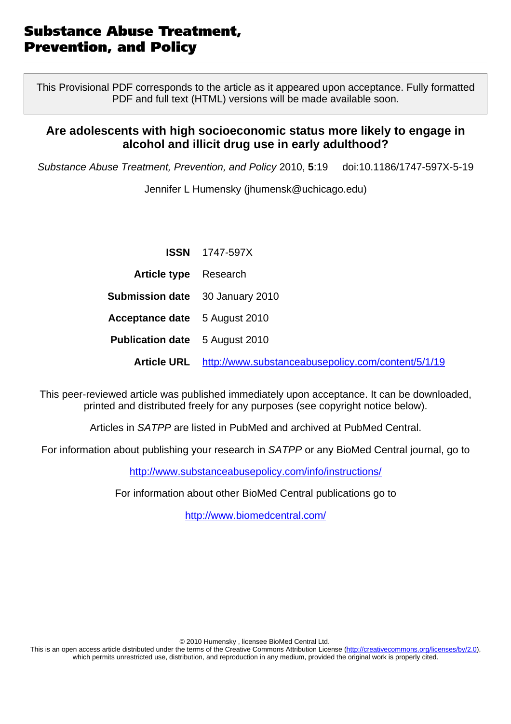This Provisional PDF corresponds to the article as it appeared upon acceptance. Fully formatted PDF and full text (HTML) versions will be made available soon.

### **Are adolescents with high socioeconomic status more likely to engage in alcohol and illicit drug use in early adulthood?**

Substance Abuse Treatment, Prevention, and Policy 2010, **5**:19 doi:10.1186/1747-597X-5-19

Jennifer L Humensky [\(jhumensk@uchicago.edu](mailto:jhumensk@uchicago.edu))

|                                        | <b>ISSN</b> 1747-597X                              |
|----------------------------------------|----------------------------------------------------|
| <b>Article type</b> Research           |                                                    |
| <b>Submission date</b> 30 January 2010 |                                                    |
| Acceptance date 5 August 2010          |                                                    |
| <b>Publication date</b> 5 August 2010  |                                                    |
| <b>Article URL</b>                     | http://www.substanceabusepolicy.com/content/5/1/19 |

This peer-reviewed article was published immediately upon acceptance. It can be downloaded, printed and distributed freely for any purposes (see copyright notice below).

Articles in SATPP are listed in PubMed and archived at PubMed Central.

For information about publishing your research in SATPP or any BioMed Central journal, go to

<http://www.substanceabusepolicy.com/info/instructions/>

For information about other BioMed Central publications go to

<http://www.biomedcentral.com/>

© 2010 Humensky , licensee BioMed Central Ltd.

This is an open access article distributed under the terms of the Creative Commons Attribution License [\(http://creativecommons.org/licenses/by/2.0](http://creativecommons.org/licenses/by/2.0)), which permits unrestricted use, distribution, and reproduction in any medium, provided the original work is properly cited.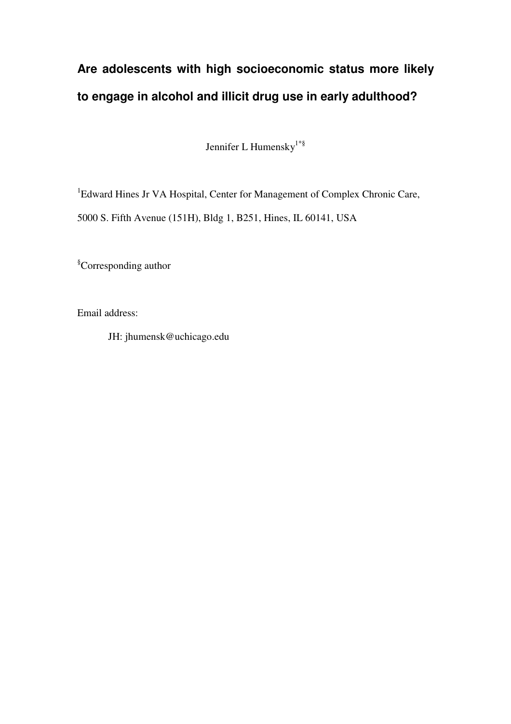# **Are adolescents with high socioeconomic status more likely to engage in alcohol and illicit drug use in early adulthood?**

Jennifer L Humensky<sup>1\*§</sup>

<sup>1</sup>Edward Hines Jr VA Hospital, Center for Management of Complex Chronic Care,

5000 S. Fifth Avenue (151H), Bldg 1, B251, Hines, IL 60141, USA

§Corresponding author

Email address:

JH: jhumensk@uchicago.edu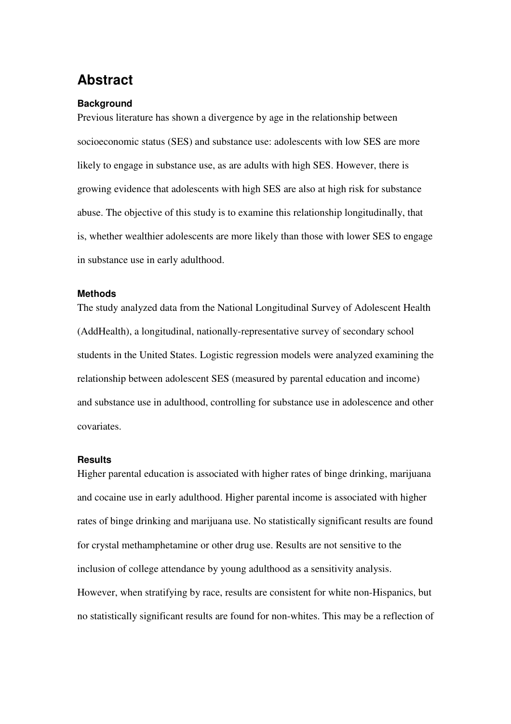## **Abstract**

#### **Background**

Previous literature has shown a divergence by age in the relationship between socioeconomic status (SES) and substance use: adolescents with low SES are more likely to engage in substance use, as are adults with high SES. However, there is growing evidence that adolescents with high SES are also at high risk for substance abuse. The objective of this study is to examine this relationship longitudinally, that is, whether wealthier adolescents are more likely than those with lower SES to engage in substance use in early adulthood.

#### **Methods**

The study analyzed data from the National Longitudinal Survey of Adolescent Health (AddHealth), a longitudinal, nationally-representative survey of secondary school students in the United States. Logistic regression models were analyzed examining the relationship between adolescent SES (measured by parental education and income) and substance use in adulthood, controlling for substance use in adolescence and other covariates.

#### **Results**

Higher parental education is associated with higher rates of binge drinking, marijuana and cocaine use in early adulthood. Higher parental income is associated with higher rates of binge drinking and marijuana use. No statistically significant results are found for crystal methamphetamine or other drug use. Results are not sensitive to the inclusion of college attendance by young adulthood as a sensitivity analysis. However, when stratifying by race, results are consistent for white non-Hispanics, but no statistically significant results are found for non-whites. This may be a reflection of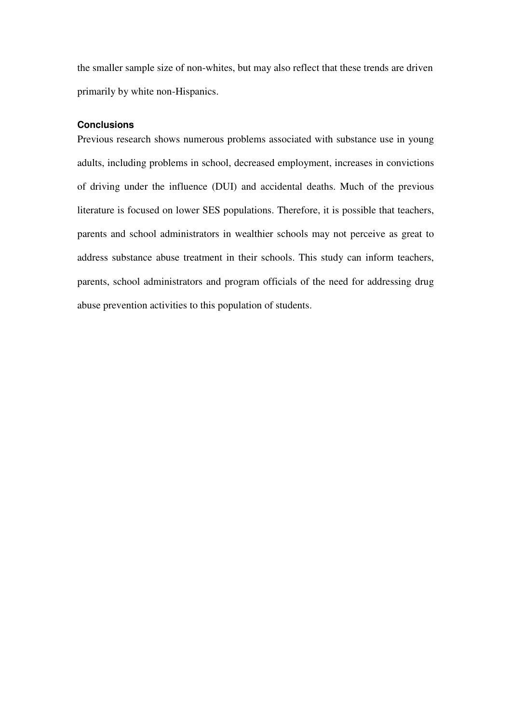the smaller sample size of non-whites, but may also reflect that these trends are driven primarily by white non-Hispanics.

#### **Conclusions**

Previous research shows numerous problems associated with substance use in young adults, including problems in school, decreased employment, increases in convictions of driving under the influence (DUI) and accidental deaths. Much of the previous literature is focused on lower SES populations. Therefore, it is possible that teachers, parents and school administrators in wealthier schools may not perceive as great to address substance abuse treatment in their schools. This study can inform teachers, parents, school administrators and program officials of the need for addressing drug abuse prevention activities to this population of students.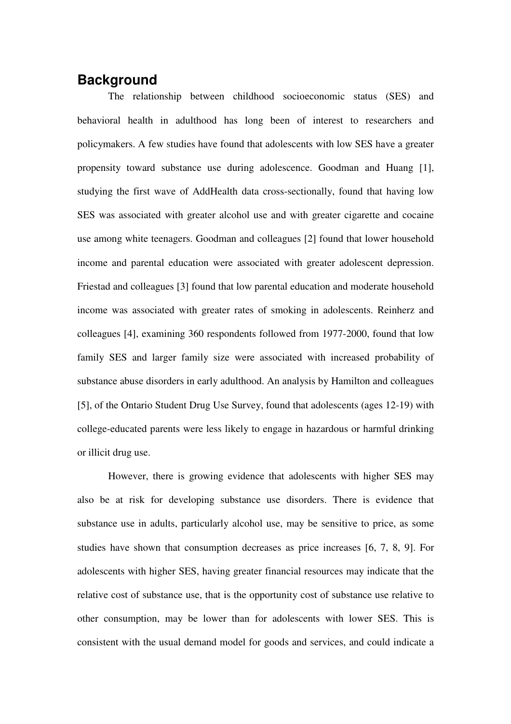### **Background**

The relationship between childhood socioeconomic status (SES) and behavioral health in adulthood has long been of interest to researchers and policymakers. A few studies have found that adolescents with low SES have a greater propensity toward substance use during adolescence. Goodman and Huang [1], studying the first wave of AddHealth data cross-sectionally, found that having low SES was associated with greater alcohol use and with greater cigarette and cocaine use among white teenagers. Goodman and colleagues [2] found that lower household income and parental education were associated with greater adolescent depression. Friestad and colleagues [3] found that low parental education and moderate household income was associated with greater rates of smoking in adolescents. Reinherz and colleagues [4], examining 360 respondents followed from 1977-2000, found that low family SES and larger family size were associated with increased probability of substance abuse disorders in early adulthood. An analysis by Hamilton and colleagues [5], of the Ontario Student Drug Use Survey, found that adolescents (ages 12-19) with college-educated parents were less likely to engage in hazardous or harmful drinking or illicit drug use.

However, there is growing evidence that adolescents with higher SES may also be at risk for developing substance use disorders. There is evidence that substance use in adults, particularly alcohol use, may be sensitive to price, as some studies have shown that consumption decreases as price increases [6, 7, 8, 9]. For adolescents with higher SES, having greater financial resources may indicate that the relative cost of substance use, that is the opportunity cost of substance use relative to other consumption, may be lower than for adolescents with lower SES. This is consistent with the usual demand model for goods and services, and could indicate a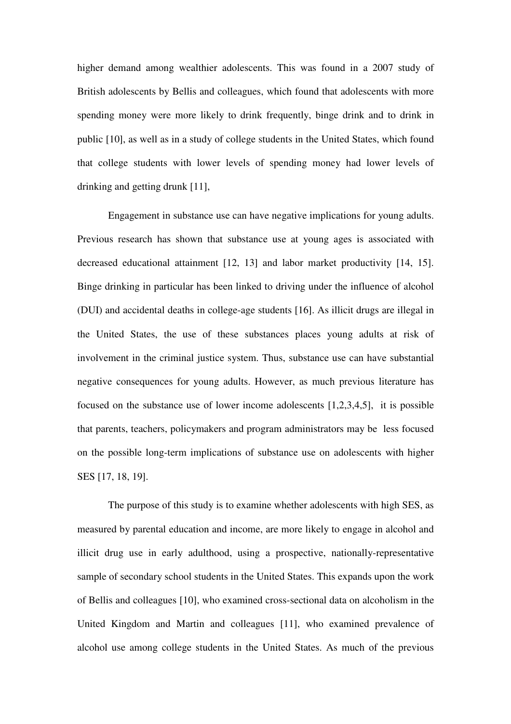higher demand among wealthier adolescents. This was found in a 2007 study of British adolescents by Bellis and colleagues, which found that adolescents with more spending money were more likely to drink frequently, binge drink and to drink in public [10], as well as in a study of college students in the United States, which found that college students with lower levels of spending money had lower levels of drinking and getting drunk [11],

Engagement in substance use can have negative implications for young adults. Previous research has shown that substance use at young ages is associated with decreased educational attainment [12, 13] and labor market productivity [14, 15]. Binge drinking in particular has been linked to driving under the influence of alcohol (DUI) and accidental deaths in college-age students [16]. As illicit drugs are illegal in the United States, the use of these substances places young adults at risk of involvement in the criminal justice system. Thus, substance use can have substantial negative consequences for young adults. However, as much previous literature has focused on the substance use of lower income adolescents [1,2,3,4,5], it is possible that parents, teachers, policymakers and program administrators may be less focused on the possible long-term implications of substance use on adolescents with higher SES [17, 18, 19].

 The purpose of this study is to examine whether adolescents with high SES, as measured by parental education and income, are more likely to engage in alcohol and illicit drug use in early adulthood, using a prospective, nationally-representative sample of secondary school students in the United States. This expands upon the work of Bellis and colleagues [10], who examined cross-sectional data on alcoholism in the United Kingdom and Martin and colleagues [11], who examined prevalence of alcohol use among college students in the United States. As much of the previous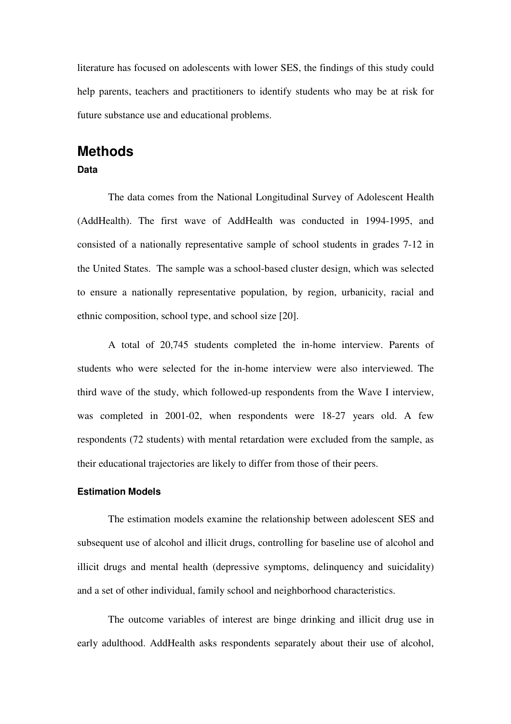literature has focused on adolescents with lower SES, the findings of this study could help parents, teachers and practitioners to identify students who may be at risk for future substance use and educational problems.

## **Methods**

### **Data**

 The data comes from the National Longitudinal Survey of Adolescent Health (AddHealth). The first wave of AddHealth was conducted in 1994-1995, and consisted of a nationally representative sample of school students in grades 7-12 in the United States. The sample was a school-based cluster design, which was selected to ensure a nationally representative population, by region, urbanicity, racial and ethnic composition, school type, and school size [20].

A total of 20,745 students completed the in-home interview. Parents of students who were selected for the in-home interview were also interviewed. The third wave of the study, which followed-up respondents from the Wave I interview, was completed in 2001-02, when respondents were 18-27 years old. A few respondents (72 students) with mental retardation were excluded from the sample, as their educational trajectories are likely to differ from those of their peers.

#### **Estimation Models**

The estimation models examine the relationship between adolescent SES and subsequent use of alcohol and illicit drugs, controlling for baseline use of alcohol and illicit drugs and mental health (depressive symptoms, delinquency and suicidality) and a set of other individual, family school and neighborhood characteristics.

The outcome variables of interest are binge drinking and illicit drug use in early adulthood. AddHealth asks respondents separately about their use of alcohol,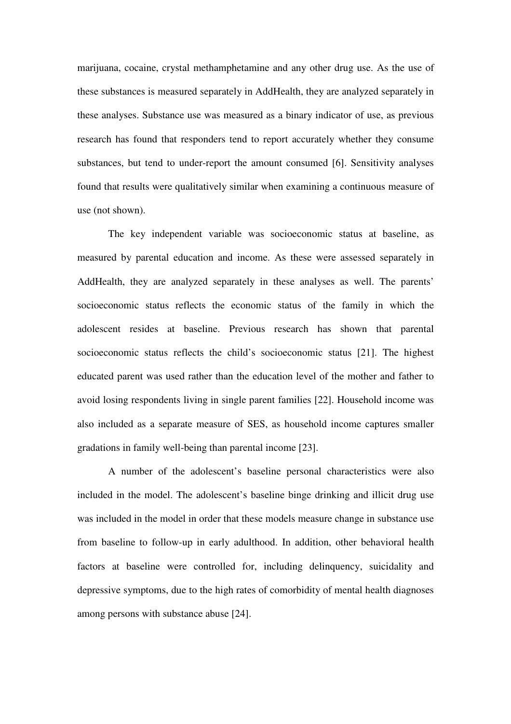marijuana, cocaine, crystal methamphetamine and any other drug use. As the use of these substances is measured separately in AddHealth, they are analyzed separately in these analyses. Substance use was measured as a binary indicator of use, as previous research has found that responders tend to report accurately whether they consume substances, but tend to under-report the amount consumed [6]. Sensitivity analyses found that results were qualitatively similar when examining a continuous measure of use (not shown).

The key independent variable was socioeconomic status at baseline, as measured by parental education and income. As these were assessed separately in AddHealth, they are analyzed separately in these analyses as well. The parents' socioeconomic status reflects the economic status of the family in which the adolescent resides at baseline. Previous research has shown that parental socioeconomic status reflects the child's socioeconomic status [21]. The highest educated parent was used rather than the education level of the mother and father to avoid losing respondents living in single parent families [22]. Household income was also included as a separate measure of SES, as household income captures smaller gradations in family well-being than parental income [23].

A number of the adolescent's baseline personal characteristics were also included in the model. The adolescent's baseline binge drinking and illicit drug use was included in the model in order that these models measure change in substance use from baseline to follow-up in early adulthood. In addition, other behavioral health factors at baseline were controlled for, including delinquency, suicidality and depressive symptoms, due to the high rates of comorbidity of mental health diagnoses among persons with substance abuse [24].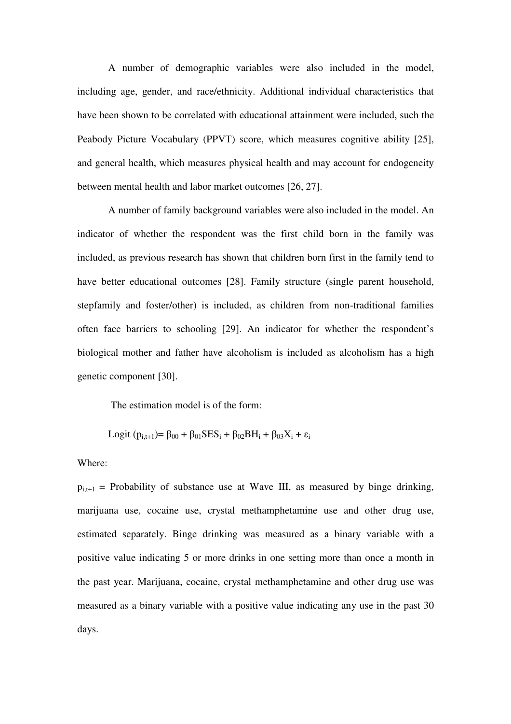A number of demographic variables were also included in the model, including age, gender, and race/ethnicity. Additional individual characteristics that have been shown to be correlated with educational attainment were included, such the Peabody Picture Vocabulary (PPVT) score, which measures cognitive ability [25], and general health, which measures physical health and may account for endogeneity between mental health and labor market outcomes [26, 27].

A number of family background variables were also included in the model. An indicator of whether the respondent was the first child born in the family was included, as previous research has shown that children born first in the family tend to have better educational outcomes [28]. Family structure (single parent household, stepfamily and foster/other) is included, as children from non-traditional families often face barriers to schooling [29]. An indicator for whether the respondent's biological mother and father have alcoholism is included as alcoholism has a high genetic component [30].

The estimation model is of the form:

Logit  $(p_{i,t+1}) = \beta_{00} + \beta_{01} \text{SES}_i + \beta_{02} \text{BH}_i + \beta_{03} \text{X}_i + \varepsilon_i$ 

Where:

 $p_{i,t+1}$  = Probability of substance use at Wave III, as measured by binge drinking, marijuana use, cocaine use, crystal methamphetamine use and other drug use, estimated separately. Binge drinking was measured as a binary variable with a positive value indicating 5 or more drinks in one setting more than once a month in the past year. Marijuana, cocaine, crystal methamphetamine and other drug use was measured as a binary variable with a positive value indicating any use in the past 30 days.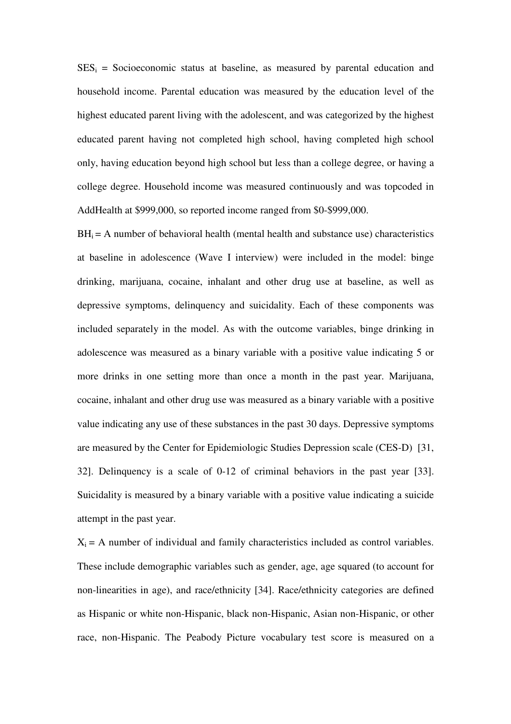$SES_i$  = Socioeconomic status at baseline, as measured by parental education and household income. Parental education was measured by the education level of the highest educated parent living with the adolescent, and was categorized by the highest educated parent having not completed high school, having completed high school only, having education beyond high school but less than a college degree, or having a college degree. Household income was measured continuously and was topcoded in AddHealth at \$999,000, so reported income ranged from \$0-\$999,000.

 $BH_i = A$  number of behavioral health (mental health and substance use) characteristics at baseline in adolescence (Wave I interview) were included in the model: binge drinking, marijuana, cocaine, inhalant and other drug use at baseline, as well as depressive symptoms, delinquency and suicidality. Each of these components was included separately in the model. As with the outcome variables, binge drinking in adolescence was measured as a binary variable with a positive value indicating 5 or more drinks in one setting more than once a month in the past year. Marijuana, cocaine, inhalant and other drug use was measured as a binary variable with a positive value indicating any use of these substances in the past 30 days. Depressive symptoms are measured by the Center for Epidemiologic Studies Depression scale (CES-D) [31, 32]. Delinquency is a scale of 0-12 of criminal behaviors in the past year [33]. Suicidality is measured by a binary variable with a positive value indicating a suicide attempt in the past year.

 $X_i = A$  number of individual and family characteristics included as control variables. These include demographic variables such as gender, age, age squared (to account for non-linearities in age), and race/ethnicity [34]. Race/ethnicity categories are defined as Hispanic or white non-Hispanic, black non-Hispanic, Asian non-Hispanic, or other race, non-Hispanic. The Peabody Picture vocabulary test score is measured on a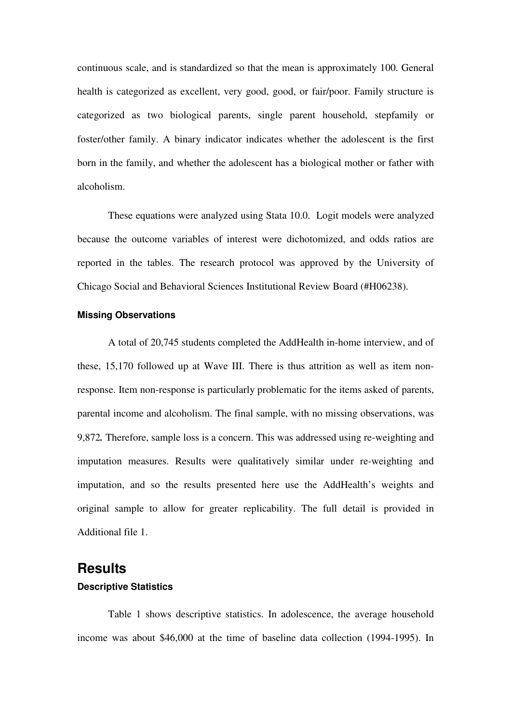continuous scale, and is standardized so that the mean is approximately 100. General health is categorized as excellent, very good, good, or fair/poor. Family structure is categorized as two biological parents, single parent household, stepfamily or foster/other family. A binary indicator indicates whether the adolescent is the first born in the family, and whether the adolescent has a biological mother or father with alcoholism.

These equations were analyzed using Stata 10.0. Logit models were analyzed because the outcome variables of interest were dichotomized, and odds ratios are reported in the tables. The research protocol was approved by the University of Chicago Social and Behavioral Sciences Institutional Review Board (#H06238).

#### **Missing Observations**

A total of 20,745 students completed the AddHealth in-home interview, and of these, 15,170 followed up at Wave III. There is thus attrition as well as item nonresponse. Item non-response is particularly problematic for the items asked of parents, parental income and alcoholism. The final sample, with no missing observations, was 9,872*.* Therefore, sample loss is a concern. This was addressed using re-weighting and imputation measures. Results were qualitatively similar under re-weighting and imputation, and so the results presented here use the AddHealth's weights and original sample to allow for greater replicability. The full detail is provided in Additional file 1.

### **Results Descriptive Statistics**

 Table 1 shows descriptive statistics. In adolescence, the average household income was about \$46,000 at the time of baseline data collection (1994-1995). In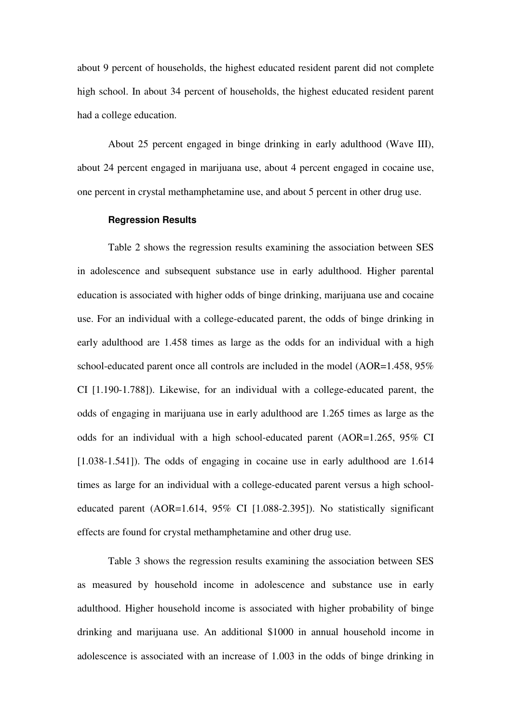about 9 percent of households, the highest educated resident parent did not complete high school. In about 34 percent of households, the highest educated resident parent had a college education.

 About 25 percent engaged in binge drinking in early adulthood (Wave III), about 24 percent engaged in marijuana use, about 4 percent engaged in cocaine use, one percent in crystal methamphetamine use, and about 5 percent in other drug use.

#### **Regression Results**

 Table 2 shows the regression results examining the association between SES in adolescence and subsequent substance use in early adulthood. Higher parental education is associated with higher odds of binge drinking, marijuana use and cocaine use. For an individual with a college-educated parent, the odds of binge drinking in early adulthood are 1.458 times as large as the odds for an individual with a high school-educated parent once all controls are included in the model (AOR=1.458, 95% CI [1.190-1.788]). Likewise, for an individual with a college-educated parent, the odds of engaging in marijuana use in early adulthood are 1.265 times as large as the odds for an individual with a high school-educated parent (AOR=1.265, 95% CI [1.038-1.541]). The odds of engaging in cocaine use in early adulthood are 1.614 times as large for an individual with a college-educated parent versus a high schooleducated parent (AOR=1.614, 95% CI [1.088-2.395]). No statistically significant effects are found for crystal methamphetamine and other drug use.

 Table 3 shows the regression results examining the association between SES as measured by household income in adolescence and substance use in early adulthood. Higher household income is associated with higher probability of binge drinking and marijuana use. An additional \$1000 in annual household income in adolescence is associated with an increase of 1.003 in the odds of binge drinking in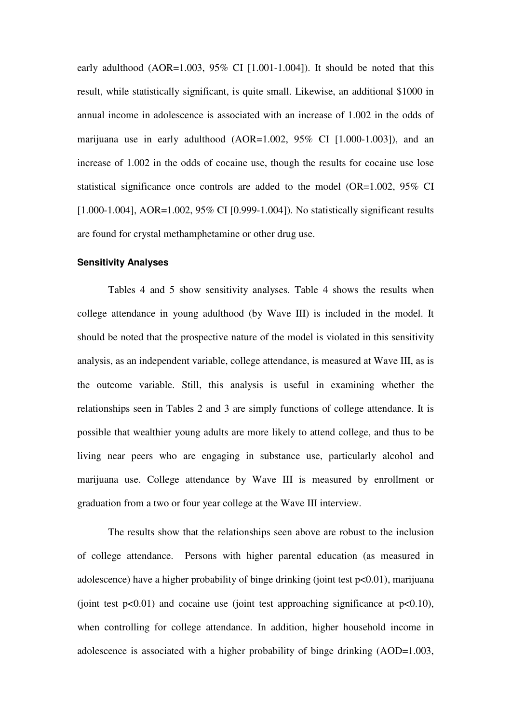early adulthood (AOR=1.003,  $95\%$  CI [1.001-1.004]). It should be noted that this result, while statistically significant, is quite small. Likewise, an additional \$1000 in annual income in adolescence is associated with an increase of 1.002 in the odds of marijuana use in early adulthood  $(AOR=1.002, 95\% \text{ CI} [1.000-1.003])$ , and an increase of 1.002 in the odds of cocaine use, though the results for cocaine use lose statistical significance once controls are added to the model (OR=1.002, 95% CI [1.000-1.004], AOR=1.002, 95% CI [0.999-1.004]). No statistically significant results are found for crystal methamphetamine or other drug use.

#### **Sensitivity Analyses**

Tables 4 and 5 show sensitivity analyses. Table 4 shows the results when college attendance in young adulthood (by Wave III) is included in the model. It should be noted that the prospective nature of the model is violated in this sensitivity analysis, as an independent variable, college attendance, is measured at Wave III, as is the outcome variable. Still, this analysis is useful in examining whether the relationships seen in Tables 2 and 3 are simply functions of college attendance. It is possible that wealthier young adults are more likely to attend college, and thus to be living near peers who are engaging in substance use, particularly alcohol and marijuana use. College attendance by Wave III is measured by enrollment or graduation from a two or four year college at the Wave III interview.

The results show that the relationships seen above are robust to the inclusion of college attendance. Persons with higher parental education (as measured in adolescence) have a higher probability of binge drinking (joint test  $p<0.01$ ), marijuana (joint test  $p<0.01$ ) and cocaine use (joint test approaching significance at  $p<0.10$ ), when controlling for college attendance. In addition, higher household income in adolescence is associated with a higher probability of binge drinking (AOD=1.003,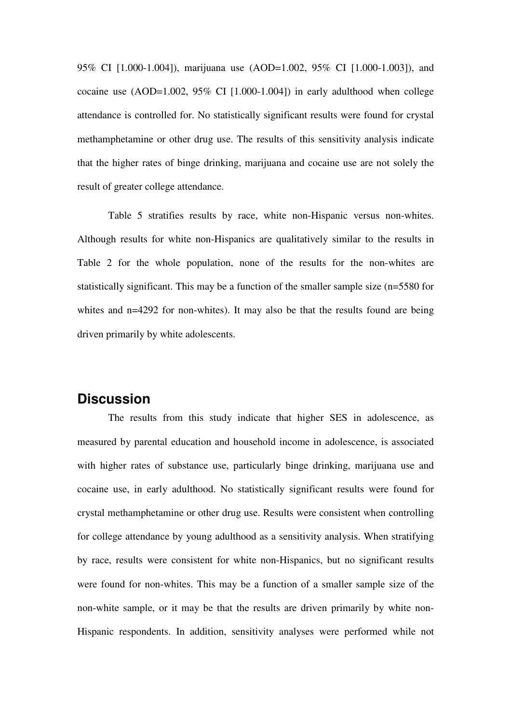95% CI [1.000-1.004]), marijuana use (AOD=1.002, 95% CI [1.000-1.003]), and cocaine use  $(AOD=1.002, 95\% \text{ CI}$  [1.000-1.004]) in early adulthood when college attendance is controlled for. No statistically significant results were found for crystal methamphetamine or other drug use. The results of this sensitivity analysis indicate that the higher rates of binge drinking, marijuana and cocaine use are not solely the result of greater college attendance.

Table 5 stratifies results by race, white non-Hispanic versus non-whites. Although results for white non-Hispanics are qualitatively similar to the results in Table 2 for the whole population, none of the results for the non-whites are statistically significant. This may be a function of the smaller sample size (n=5580 for whites and n=4292 for non-whites). It may also be that the results found are being driven primarily by white adolescents.

### **Discussion**

The results from this study indicate that higher SES in adolescence, as measured by parental education and household income in adolescence, is associated with higher rates of substance use, particularly binge drinking, marijuana use and cocaine use, in early adulthood. No statistically significant results were found for crystal methamphetamine or other drug use. Results were consistent when controlling for college attendance by young adulthood as a sensitivity analysis. When stratifying by race, results were consistent for white non-Hispanics, but no significant results were found for non-whites. This may be a function of a smaller sample size of the non-white sample, or it may be that the results are driven primarily by white non-Hispanic respondents. In addition, sensitivity analyses were performed while not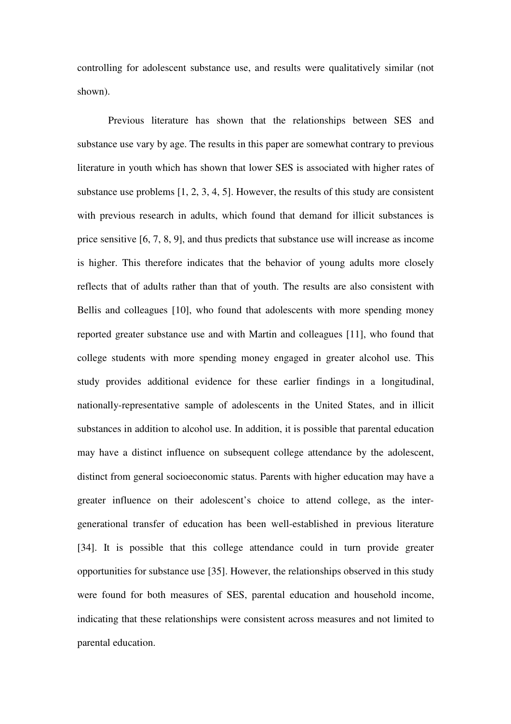controlling for adolescent substance use, and results were qualitatively similar (not shown).

 Previous literature has shown that the relationships between SES and substance use vary by age. The results in this paper are somewhat contrary to previous literature in youth which has shown that lower SES is associated with higher rates of substance use problems [1, 2, 3, 4, 5]. However, the results of this study are consistent with previous research in adults, which found that demand for illicit substances is price sensitive [6, 7, 8, 9], and thus predicts that substance use will increase as income is higher. This therefore indicates that the behavior of young adults more closely reflects that of adults rather than that of youth. The results are also consistent with Bellis and colleagues [10], who found that adolescents with more spending money reported greater substance use and with Martin and colleagues [11], who found that college students with more spending money engaged in greater alcohol use. This study provides additional evidence for these earlier findings in a longitudinal, nationally-representative sample of adolescents in the United States, and in illicit substances in addition to alcohol use. In addition, it is possible that parental education may have a distinct influence on subsequent college attendance by the adolescent, distinct from general socioeconomic status. Parents with higher education may have a greater influence on their adolescent's choice to attend college, as the intergenerational transfer of education has been well-established in previous literature [34]. It is possible that this college attendance could in turn provide greater opportunities for substance use [35]. However, the relationships observed in this study were found for both measures of SES, parental education and household income, indicating that these relationships were consistent across measures and not limited to parental education.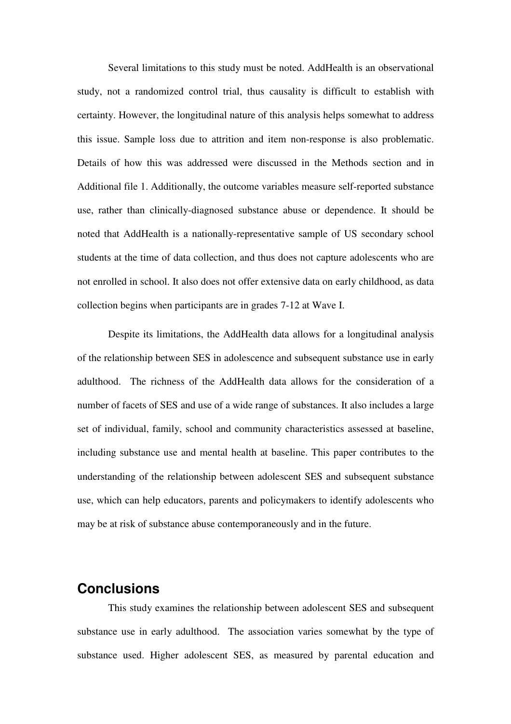Several limitations to this study must be noted. AddHealth is an observational study, not a randomized control trial, thus causality is difficult to establish with certainty. However, the longitudinal nature of this analysis helps somewhat to address this issue. Sample loss due to attrition and item non-response is also problematic. Details of how this was addressed were discussed in the Methods section and in Additional file 1. Additionally, the outcome variables measure self-reported substance use, rather than clinically-diagnosed substance abuse or dependence. It should be noted that AddHealth is a nationally-representative sample of US secondary school students at the time of data collection, and thus does not capture adolescents who are not enrolled in school. It also does not offer extensive data on early childhood, as data collection begins when participants are in grades 7-12 at Wave I.

 Despite its limitations, the AddHealth data allows for a longitudinal analysis of the relationship between SES in adolescence and subsequent substance use in early adulthood. The richness of the AddHealth data allows for the consideration of a number of facets of SES and use of a wide range of substances. It also includes a large set of individual, family, school and community characteristics assessed at baseline, including substance use and mental health at baseline. This paper contributes to the understanding of the relationship between adolescent SES and subsequent substance use, which can help educators, parents and policymakers to identify adolescents who may be at risk of substance abuse contemporaneously and in the future.

### **Conclusions**

This study examines the relationship between adolescent SES and subsequent substance use in early adulthood. The association varies somewhat by the type of substance used. Higher adolescent SES, as measured by parental education and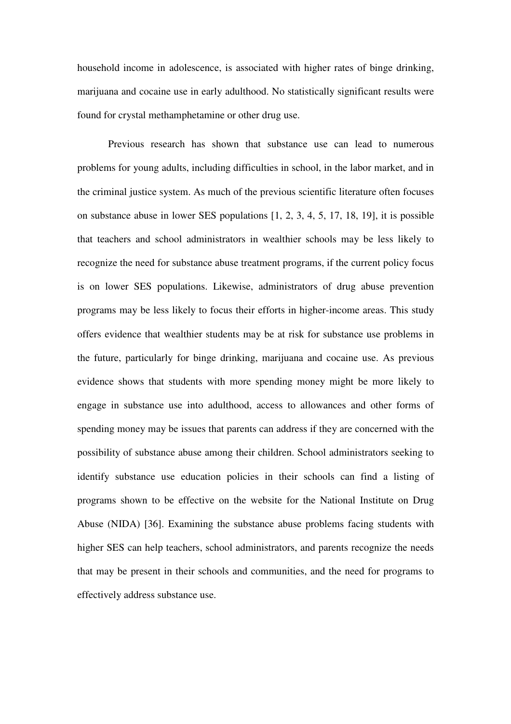household income in adolescence, is associated with higher rates of binge drinking, marijuana and cocaine use in early adulthood. No statistically significant results were found for crystal methamphetamine or other drug use.

 Previous research has shown that substance use can lead to numerous problems for young adults, including difficulties in school, in the labor market, and in the criminal justice system. As much of the previous scientific literature often focuses on substance abuse in lower SES populations [1, 2, 3, 4, 5, 17, 18, 19], it is possible that teachers and school administrators in wealthier schools may be less likely to recognize the need for substance abuse treatment programs, if the current policy focus is on lower SES populations. Likewise, administrators of drug abuse prevention programs may be less likely to focus their efforts in higher-income areas. This study offers evidence that wealthier students may be at risk for substance use problems in the future, particularly for binge drinking, marijuana and cocaine use. As previous evidence shows that students with more spending money might be more likely to engage in substance use into adulthood, access to allowances and other forms of spending money may be issues that parents can address if they are concerned with the possibility of substance abuse among their children. School administrators seeking to identify substance use education policies in their schools can find a listing of programs shown to be effective on the website for the National Institute on Drug Abuse (NIDA) [36]. Examining the substance abuse problems facing students with higher SES can help teachers, school administrators, and parents recognize the needs that may be present in their schools and communities, and the need for programs to effectively address substance use.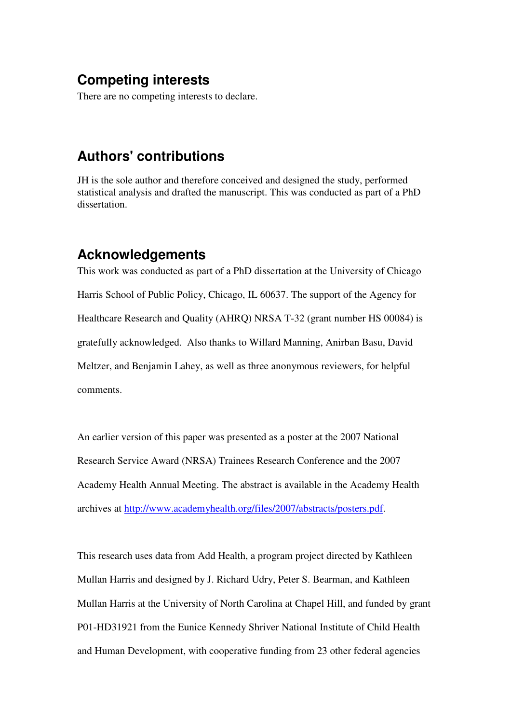## **Competing interests**

There are no competing interests to declare.

### **Authors' contributions**

JH is the sole author and therefore conceived and designed the study, performed statistical analysis and drafted the manuscript. This was conducted as part of a PhD dissertation.

### **Acknowledgements**

This work was conducted as part of a PhD dissertation at the University of Chicago Harris School of Public Policy, Chicago, IL 60637. The support of the Agency for Healthcare Research and Quality (AHRQ) NRSA T-32 (grant number HS 00084) is gratefully acknowledged. Also thanks to Willard Manning, Anirban Basu, David Meltzer, and Benjamin Lahey, as well as three anonymous reviewers, for helpful comments.

An earlier version of this paper was presented as a poster at the 2007 National Research Service Award (NRSA) Trainees Research Conference and the 2007 Academy Health Annual Meeting. The abstract is available in the Academy Health archives at http://www.academyhealth.org/files/2007/abstracts/posters.pdf.

This research uses data from Add Health, a program project directed by Kathleen Mullan Harris and designed by J. Richard Udry, Peter S. Bearman, and Kathleen Mullan Harris at the University of North Carolina at Chapel Hill, and funded by grant P01-HD31921 from the Eunice Kennedy Shriver National Institute of Child Health and Human Development, with cooperative funding from 23 other federal agencies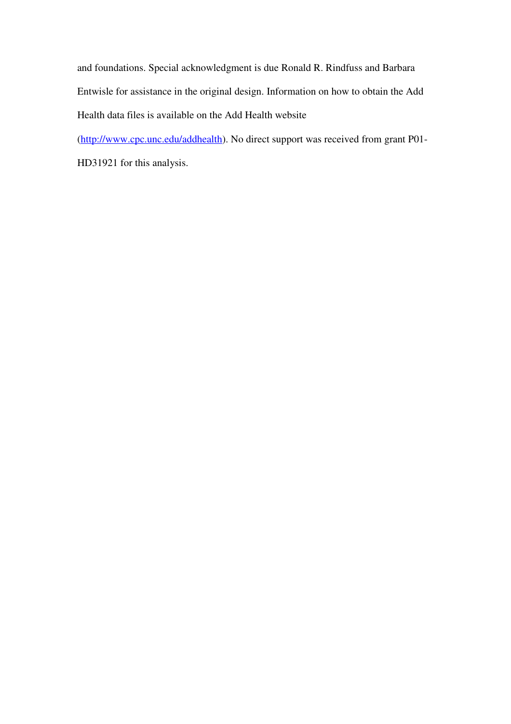and foundations. Special acknowledgment is due Ronald R. Rindfuss and Barbara Entwisle for assistance in the original design. Information on how to obtain the Add Health data files is available on the Add Health website

(http://www.cpc.unc.edu/addhealth). No direct support was received from grant P01-

HD31921 for this analysis.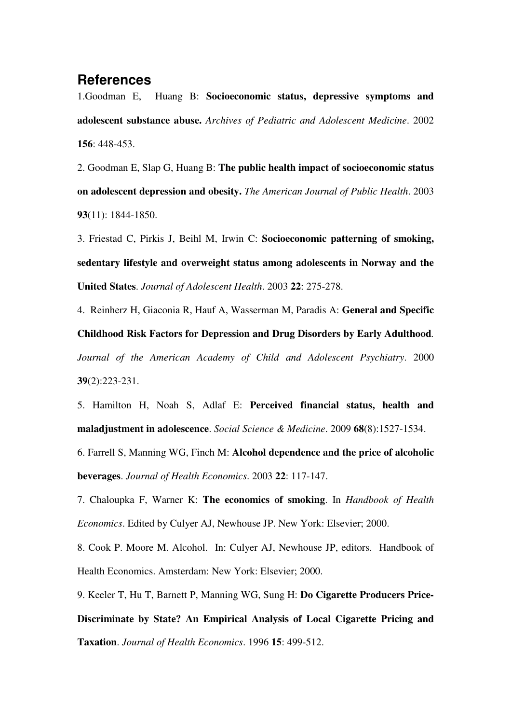### **References**

1.Goodman E, Huang B: **Socioeconomic status, depressive symptoms and adolescent substance abuse.** *Archives of Pediatric and Adolescent Medicine*. 2002 **156**: 448-453.

2. Goodman E, Slap G, Huang B: **The public health impact of socioeconomic status on adolescent depression and obesity.** *The American Journal of Public Health*. 2003 **93**(11): 1844-1850.

3. Friestad C, Pirkis J, Beihl M, Irwin C: **Socioeconomic patterning of smoking, sedentary lifestyle and overweight status among adolescents in Norway and the United States**. *Journal of Adolescent Health*. 2003 **22**: 275-278.

4. Reinherz H, Giaconia R, Hauf A, Wasserman M, Paradis A: **General and Specific Childhood Risk Factors for Depression and Drug Disorders by Early Adulthood***. Journal of the American Academy of Child and Adolescent Psychiatry*. 2000 **39**(2):223-231.

5. Hamilton H, Noah S, Adlaf E: **Perceived financial status, health and maladjustment in adolescence**. *Social Science & Medicine*. 2009 **68**(8):1527-1534.

6. Farrell S, Manning WG, Finch M: **Alcohol dependence and the price of alcoholic beverages**. *Journal of Health Economics*. 2003 **22**: 117-147.

7. Chaloupka F, Warner K: **The economics of smoking**. In *Handbook of Health Economics*. Edited by Culyer AJ, Newhouse JP. New York: Elsevier; 2000.

8. Cook P. Moore M. Alcohol. In: Culyer AJ, Newhouse JP, editors. Handbook of Health Economics. Amsterdam: New York: Elsevier; 2000.

9. Keeler T, Hu T, Barnett P, Manning WG, Sung H: **Do Cigarette Producers Price-Discriminate by State? An Empirical Analysis of Local Cigarette Pricing and Taxation**. *Journal of Health Economics*. 1996 **15**: 499-512.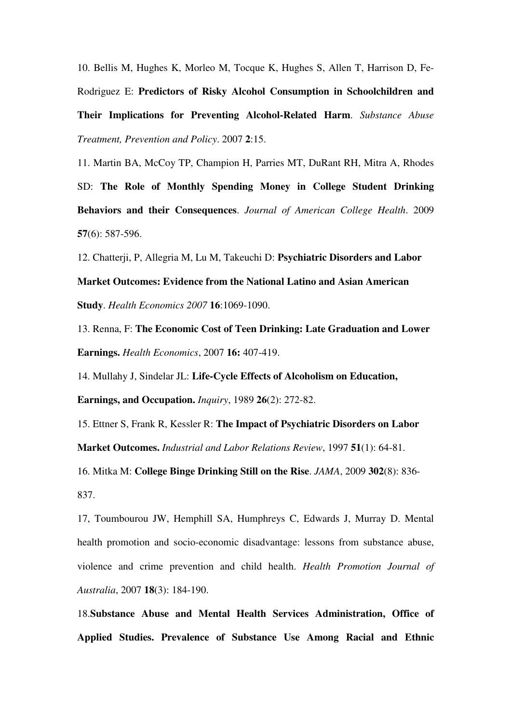10. Bellis M, Hughes K, Morleo M, Tocque K, Hughes S, Allen T, Harrison D, Fe-Rodriguez E: **Predictors of Risky Alcohol Consumption in Schoolchildren and Their Implications for Preventing Alcohol-Related Harm**. *Substance Abuse Treatment, Prevention and Policy*. 2007 **2**:15.

11. Martin BA, McCoy TP, Champion H, Parries MT, DuRant RH, Mitra A, Rhodes SD: **The Role of Monthly Spending Money in College Student Drinking Behaviors and their Consequences**. *Journal of American College Health*. 2009 **57**(6): 587-596.

12. Chatterji, P, Allegria M, Lu M, Takeuchi D: **Psychiatric Disorders and Labor Market Outcomes: Evidence from the National Latino and Asian American Study**. *Health Economics 2007* **16**:1069-1090.

13. Renna, F: **The Economic Cost of Teen Drinking: Late Graduation and Lower Earnings.** *Health Economics*, 2007 **16:** 407-419.

14. Mullahy J, Sindelar JL: **Life-Cycle Effects of Alcoholism on Education,** 

**Earnings, and Occupation.** *Inquiry*, 1989 **26**(2): 272-82.

15. Ettner S, Frank R, Kessler R: **The Impact of Psychiatric Disorders on Labor Market Outcomes.** *Industrial and Labor Relations Review*, 1997 **51**(1): 64-81.

16. Mitka M: **College Binge Drinking Still on the Rise**. *JAMA*, 2009 **302**(8): 836- 837.

17, Toumbourou JW, Hemphill SA, Humphreys C, Edwards J, Murray D. Mental health promotion and socio-economic disadvantage: lessons from substance abuse, violence and crime prevention and child health. *Health Promotion Journal of Australia*, 2007 **18**(3): 184-190.

18.**Substance Abuse and Mental Health Services Administration, Office of Applied Studies. Prevalence of Substance Use Among Racial and Ethnic**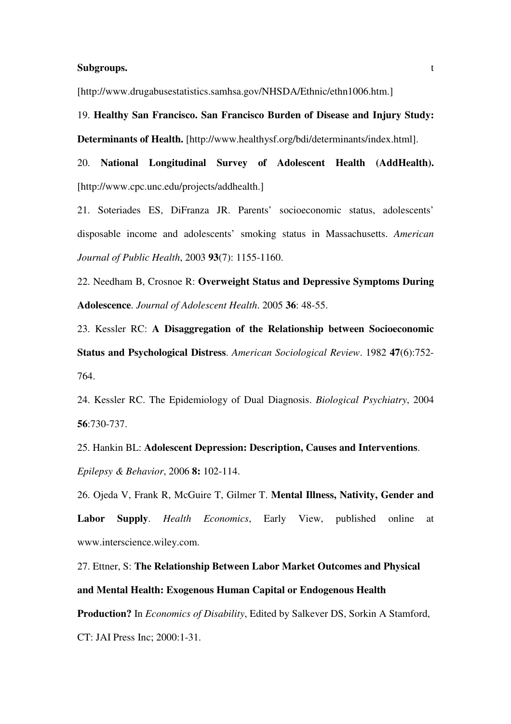#### **Subgroups.** t

[http://www.drugabusestatistics.samhsa.gov/NHSDA/Ethnic/ethn1006.htm.]

19. **Healthy San Francisco. San Francisco Burden of Disease and Injury Study: Determinants of Health.** [http://www.healthysf.org/bdi/determinants/index.html].

20. **National Longitudinal Survey of Adolescent Health (AddHealth).** [http://www.cpc.unc.edu/projects/addhealth.]

21. Soteriades ES, DiFranza JR. Parents' socioeconomic status, adolescents' disposable income and adolescents' smoking status in Massachusetts. *American Journal of Public Health*, 2003 **93**(7): 1155-1160.

22. Needham B, Crosnoe R: **Overweight Status and Depressive Symptoms During Adolescence**. *Journal of Adolescent Health*. 2005 **36**: 48-55.

23. Kessler RC: **A Disaggregation of the Relationship between Socioeconomic Status and Psychological Distress**. *American Sociological Review*. 1982 **47**(6):752- 764.

24. Kessler RC. The Epidemiology of Dual Diagnosis. *Biological Psychiatry*, 2004 **56**:730-737.

25. Hankin BL: **Adolescent Depression: Description, Causes and Interventions**. *Epilepsy & Behavior*, 2006 **8:** 102-114.

26. Ojeda V, Frank R, McGuire T, Gilmer T. **Mental Illness, Nativity, Gender and Labor Supply**. *Health Economics*, Early View, published online at www.interscience.wiley.com.

27. Ettner, S: **The Relationship Between Labor Market Outcomes and Physical and Mental Health: Exogenous Human Capital or Endogenous Health** 

**Production?** In *Economics of Disability*, Edited by Salkever DS, Sorkin A Stamford, CT: JAI Press Inc; 2000:1-31.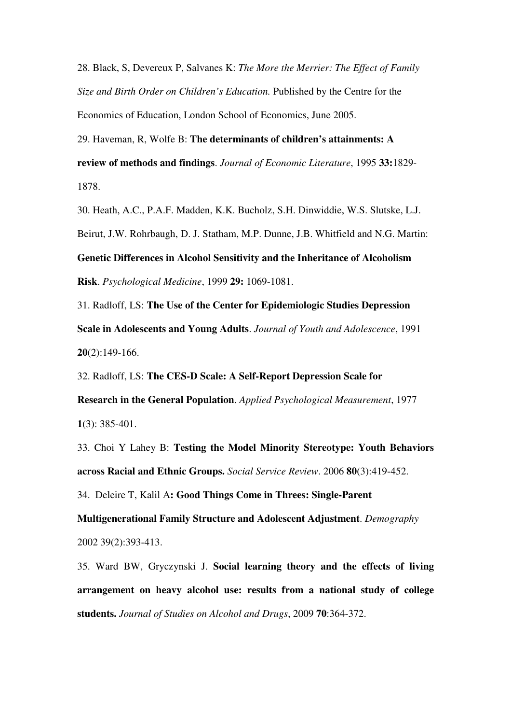28. Black, S, Devereux P, Salvanes K: *The More the Merrier: The Effect of Family Size and Birth Order on Children's Education.* Published by the Centre for the Economics of Education, London School of Economics, June 2005.

29. Haveman, R, Wolfe B: **The determinants of children's attainments: A review of methods and findings**. *Journal of Economic Literature*, 1995 **33:**1829- 1878.

30. Heath, A.C., P.A.F. Madden, K.K. Bucholz, S.H. Dinwiddie, W.S. Slutske, L.J. Beirut, J.W. Rohrbaugh, D. J. Statham, M.P. Dunne, J.B. Whitfield and N.G. Martin: **Genetic Differences in Alcohol Sensitivity and the Inheritance of Alcoholism Risk**. *Psychological Medicine*, 1999 **29:** 1069-1081.

31. Radloff, LS: **The Use of the Center for Epidemiologic Studies Depression Scale in Adolescents and Young Adults**. *Journal of Youth and Adolescence*, 1991 **20**(2):149-166.

32. Radloff, LS: **The CES-D Scale: A Self-Report Depression Scale for Research in the General Population**. *Applied Psychological Measurement*, 1977 **1**(3): 385-401.

33. Choi Y Lahey B: **Testing the Model Minority Stereotype: Youth Behaviors across Racial and Ethnic Groups.** *Social Service Review*. 2006 **80**(3):419-452.

34. Deleire T, Kalil A**: Good Things Come in Threes: Single-Parent** 

**Multigenerational Family Structure and Adolescent Adjustment**. *Demography*  2002 39(2):393-413.

35. Ward BW, Gryczynski J. **Social learning theory and the effects of living arrangement on heavy alcohol use: results from a national study of college students.** *Journal of Studies on Alcohol and Drugs*, 2009 **70**:364-372.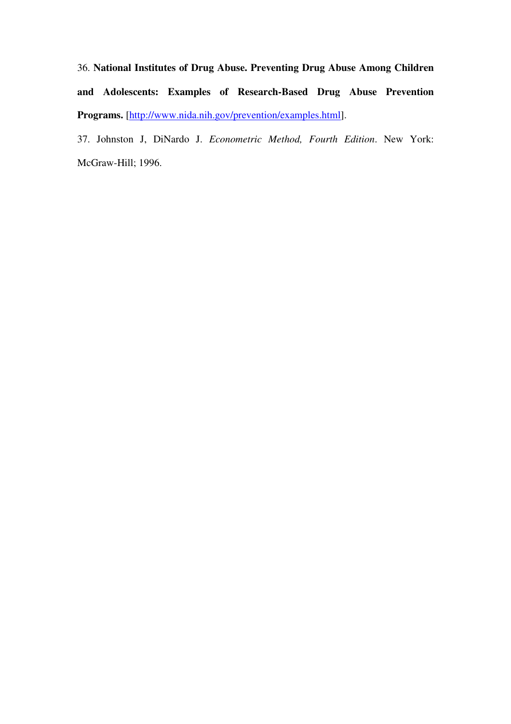36. **National Institutes of Drug Abuse. Preventing Drug Abuse Among Children and Adolescents: Examples of Research-Based Drug Abuse Prevention Programs.** [http://www.nida.nih.gov/prevention/examples.html].

37. Johnston J, DiNardo J. *Econometric Method, Fourth Edition*. New York: McGraw-Hill; 1996.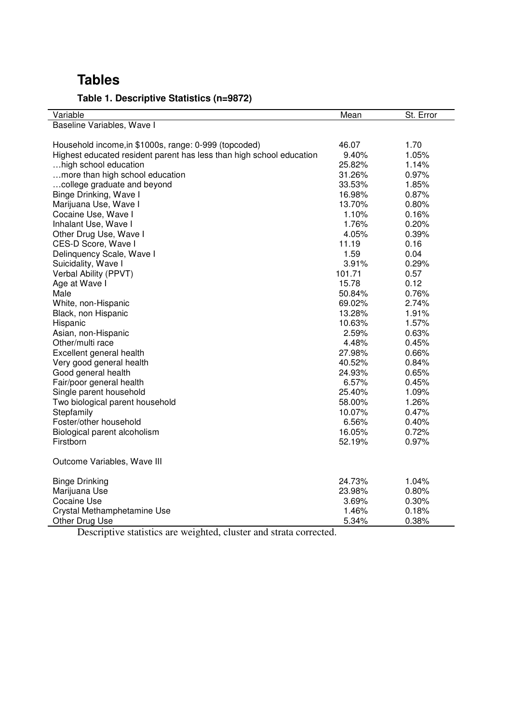## **Tables**

### **Table 1. Descriptive Statistics (n=9872)**

| Variable                                                             | Mean   | St. Error |
|----------------------------------------------------------------------|--------|-----------|
| Baseline Variables, Wave I                                           |        |           |
|                                                                      |        |           |
| Household income, in \$1000s, range: 0-999 (topcoded)                | 46.07  | 1.70      |
| Highest educated resident parent has less than high school education | 9.40%  | 1.05%     |
| high school education                                                | 25.82% | 1.14%     |
| more than high school education                                      | 31.26% | 0.97%     |
| college graduate and beyond                                          | 33.53% | 1.85%     |
| Binge Drinking, Wave I                                               | 16.98% | 0.87%     |
| Marijuana Use, Wave I                                                | 13.70% | 0.80%     |
| Cocaine Use, Wave I                                                  | 1.10%  | 0.16%     |
| Inhalant Use, Wave I                                                 | 1.76%  | 0.20%     |
| Other Drug Use, Wave I                                               | 4.05%  | 0.39%     |
| CES-D Score, Wave I                                                  | 11.19  | 0.16      |
| Delinquency Scale, Wave I                                            | 1.59   | 0.04      |
| Suicidality, Wave I                                                  | 3.91%  | 0.29%     |
| Verbal Ability (PPVT)                                                | 101.71 | 0.57      |
| Age at Wave I                                                        | 15.78  | 0.12      |
| Male                                                                 | 50.84% | 0.76%     |
| White, non-Hispanic                                                  | 69.02% | 2.74%     |
| Black, non Hispanic                                                  | 13.28% | 1.91%     |
| Hispanic                                                             | 10.63% | 1.57%     |
| Asian, non-Hispanic                                                  | 2.59%  | 0.63%     |
| Other/multi race                                                     | 4.48%  | 0.45%     |
| Excellent general health                                             | 27.98% | 0.66%     |
| Very good general health                                             | 40.52% | 0.84%     |
| Good general health                                                  | 24.93% | 0.65%     |
| Fair/poor general health                                             | 6.57%  | 0.45%     |
| Single parent household                                              | 25.40% | 1.09%     |
| Two biological parent household                                      | 58.00% | 1.26%     |
| Stepfamily                                                           | 10.07% | 0.47%     |
| Foster/other household                                               | 6.56%  | 0.40%     |
| Biological parent alcoholism                                         | 16.05% | 0.72%     |
| Firstborn                                                            | 52.19% | 0.97%     |
|                                                                      |        |           |
| Outcome Variables, Wave III                                          |        |           |
|                                                                      |        |           |
| <b>Binge Drinking</b>                                                | 24.73% | 1.04%     |
| Marijuana Use                                                        | 23.98% | 0.80%     |
| Cocaine Use                                                          | 3.69%  | 0.30%     |
| Crystal Methamphetamine Use                                          | 1.46%  | 0.18%     |
| Other Drug Use                                                       | 5.34%  | 0.38%     |

Descriptive statistics are weighted, cluster and strata corrected.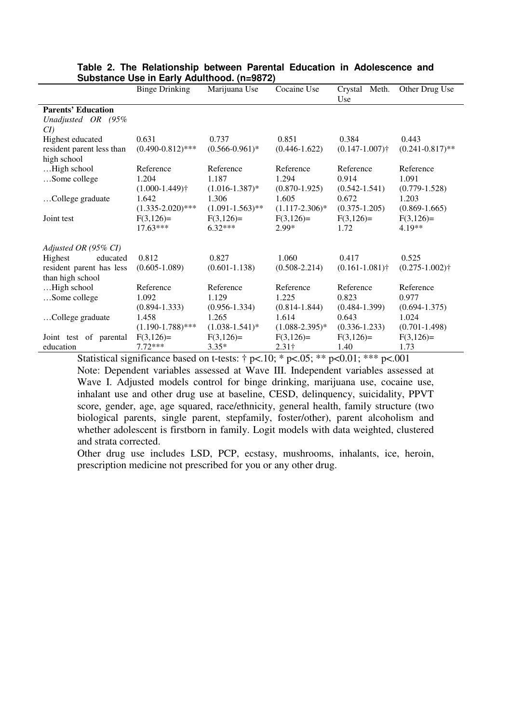|                                                       | <b>Binge Drinking</b>          | Marijuana Use            | Cocaine Use            | Meth.<br>Crystal<br>Use | Other Drug Use        |
|-------------------------------------------------------|--------------------------------|--------------------------|------------------------|-------------------------|-----------------------|
| <b>Parents' Education</b><br>Unadjusted OR (95%<br>CI |                                |                          |                        |                         |                       |
| Highest educated                                      | 0.631                          | 0.737                    | 0.851                  | 0.384                   | 0.443                 |
| resident parent less than<br>high school              | $(0.490 - 0.812)$ ***          | $(0.566 - 0.961)^*$      | $(0.446 - 1.622)$      | $(0.147 - 1.007)$       | $(0.241 - 0.817)$ **  |
| High school                                           | Reference                      | Reference                | Reference              | Reference               | Reference             |
| Some college                                          | 1.204                          | 1.187                    | 1.294                  | 0.914                   | 1.091                 |
|                                                       | $(1.000 - 1.449)$ <sup>†</sup> | $(1.016 - 1.387)^*$      | $(0.870 - 1.925)$      | $(0.542 - 1.541)$       | $(0.779 - 1.528)$     |
| College graduate                                      | 1.642                          | 1.306                    | 1.605                  | 0.672                   | 1.203                 |
|                                                       | $(1.335 - 2.020)$ ***          | $(1.091 - 1.563)$ **     | $(1.117 - 2.306)^*$    | $(0.375 - 1.205)$       | $(0.869 - 1.665)$     |
| Joint test                                            | $F(3,126)=$<br>$17.63***$      | $F(3,126)=$<br>$6.32***$ | $F(3,126)=$<br>$2.99*$ | $F(3,126)=$<br>1.72     | $F(3,126)=$<br>4.19** |
|                                                       |                                |                          |                        |                         |                       |
| Adjusted OR (95% CI)                                  |                                |                          |                        |                         |                       |
| Highest<br>educated                                   | 0.812                          | 0.827                    | 1.060                  | 0.417                   | 0.525                 |
| resident parent has less                              | $(0.605 - 1.089)$              | $(0.601 - 1.138)$        | $(0.508 - 2.214)$      | $(0.161 - 1.081)$       | $(0.275 - 1.002)$ †   |
| than high school                                      |                                |                          |                        |                         |                       |
| High school                                           | Reference                      | Reference                | Reference              | Reference               | Reference             |
| Some college                                          | 1.092                          | 1.129                    | 1.225                  | 0.823                   | 0.977                 |
|                                                       | $(0.894 - 1.333)$              | $(0.956 - 1.334)$        | $(0.814 - 1.844)$      | $(0.484 - 1.399)$       | $(0.694 - 1.375)$     |
| College graduate                                      | 1.458                          | 1.265                    | 1.614                  | 0.643                   | 1.024                 |
|                                                       | $(1.190-1.788)$ ***            | $(1.038 - 1.541)^*$      | $(1.088 - 2.395)^*$    | $(0.336 - 1.233)$       | $(0.701 - 1.498)$     |
| Joint test of parental                                | $F(3,126)=$                    | $F(3,126)=$              | $F(3,126)=$            | $F(3,126)=$             | $F(3,126)=$           |
| education                                             | $7.72***$                      | $3.35*$                  | $2.31\dagger$          | 1.40                    | 1.73                  |

### **Table 2. The Relationship between Parental Education in Adolescence and Substance Use in Early Adulthood. (n=9872)**

Statistical significance based on t-tests:  $\uparrow$  p<.10; \* p<.05; \*\* p<0.01; \*\*\* p<.001

Note: Dependent variables assessed at Wave III. Independent variables assessed at Wave I. Adjusted models control for binge drinking, marijuana use, cocaine use, inhalant use and other drug use at baseline, CESD, delinquency, suicidality, PPVT score, gender, age, age squared, race/ethnicity, general health, family structure (two biological parents, single parent, stepfamily, foster/other), parent alcoholism and whether adolescent is firstborn in family. Logit models with data weighted, clustered and strata corrected.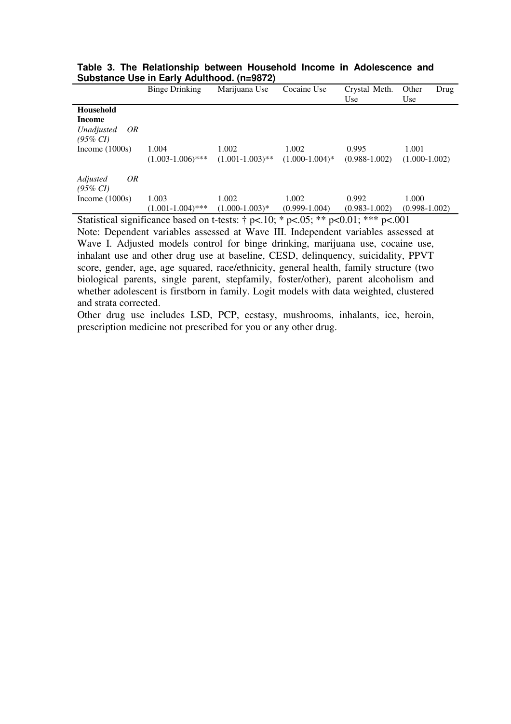|                                                                                      | <b>Binge Drinking</b>          | Marijuana Use                 | Cocaine Use                | Crystal Meth.<br>Use       | Other<br>Drug<br>Use       |
|--------------------------------------------------------------------------------------|--------------------------------|-------------------------------|----------------------------|----------------------------|----------------------------|
| <b>Household</b><br>Income<br>Unadjusted<br>OR.<br>$(95\% \;CI)$<br>Income $(1000s)$ | 1.004<br>$(1.003 - 1.006)$ *** | 1.002<br>$(1.001 - 1.003)$ ** | 1.002<br>$(1.000-1.004)*$  | 0.995<br>$(0.988 - 1.002)$ | 1.001<br>$(1.000-1.002)$   |
| OR.<br>Adjusted<br>$(95\% \; CI)$<br>Income $(1000s)$                                | 1.003<br>$(1.001 - 1.004)$ *** | 1.002<br>$(1.000-1.003)*$     | 1.002<br>$(0.999 - 1.004)$ | 0.992<br>$(0.983 - 1.002)$ | 1.000<br>$(0.998 - 1.002)$ |

**Table 3. The Relationship between Household Income in Adolescence and Substance Use in Early Adulthood. (n=9872)** 

Statistical significance based on t-tests:  $\dagger$  p<.10; \* p<.05; \*\* p<0.01; \*\*\* p<.001 Note: Dependent variables assessed at Wave III. Independent variables assessed at Wave I. Adjusted models control for binge drinking, marijuana use, cocaine use, inhalant use and other drug use at baseline, CESD, delinquency, suicidality, PPVT score, gender, age, age squared, race/ethnicity, general health, family structure (two biological parents, single parent, stepfamily, foster/other), parent alcoholism and whether adolescent is firstborn in family. Logit models with data weighted, clustered and strata corrected.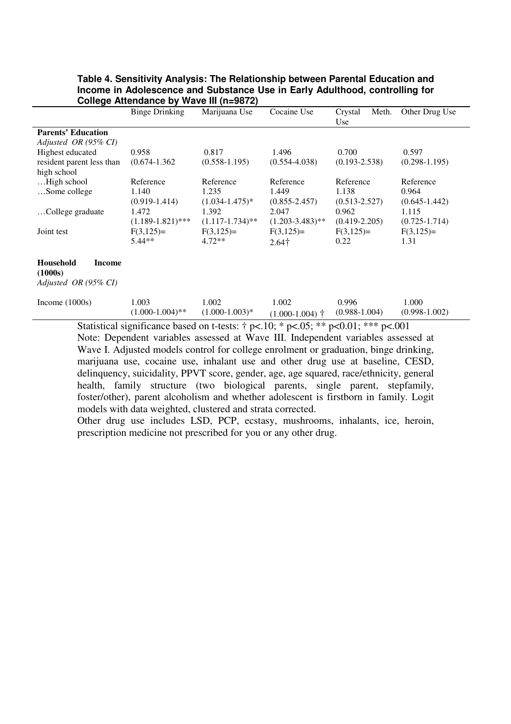|                                                                                                                                                                                                                                                                                                                                                                                                                     | <b>Binge Drinking</b> | Marijuana Use                                                                                                 | Cocaine Use                                     | Meth.<br>Crystal<br>Use                   | Other Drug Use    |
|---------------------------------------------------------------------------------------------------------------------------------------------------------------------------------------------------------------------------------------------------------------------------------------------------------------------------------------------------------------------------------------------------------------------|-----------------------|---------------------------------------------------------------------------------------------------------------|-------------------------------------------------|-------------------------------------------|-------------------|
| <b>Parents' Education</b>                                                                                                                                                                                                                                                                                                                                                                                           |                       |                                                                                                               |                                                 |                                           |                   |
| Adjusted OR (95% CI)                                                                                                                                                                                                                                                                                                                                                                                                |                       |                                                                                                               |                                                 |                                           |                   |
| Highest educated                                                                                                                                                                                                                                                                                                                                                                                                    | 0.958                 | 0.817                                                                                                         | 1.496                                           | 0.700                                     | 0.597             |
| resident parent less than                                                                                                                                                                                                                                                                                                                                                                                           | $(0.674 - 1.362)$     | $(0.558 - 1.195)$                                                                                             | $(0.554 - 4.038)$                               | $(0.193 - 2.538)$                         | $(0.298 - 1.195)$ |
| high school                                                                                                                                                                                                                                                                                                                                                                                                         |                       |                                                                                                               |                                                 |                                           |                   |
| High school                                                                                                                                                                                                                                                                                                                                                                                                         | Reference             | Reference                                                                                                     | Reference                                       | Reference                                 | Reference         |
| Some college                                                                                                                                                                                                                                                                                                                                                                                                        | 1.140                 | 1.235                                                                                                         | 1.449                                           | 1.138                                     | 0.964             |
|                                                                                                                                                                                                                                                                                                                                                                                                                     | $(0.919 - 1.414)$     | $(1.034 - 1.475)^*$                                                                                           | $(0.855 - 2.457)$                               | $(0.513 - 2.527)$                         | $(0.645 - 1.442)$ |
| College graduate                                                                                                                                                                                                                                                                                                                                                                                                    | 1.472                 | 1.392                                                                                                         | 2.047                                           | 0.962                                     | 1.115             |
|                                                                                                                                                                                                                                                                                                                                                                                                                     | $(1.189 - 1.821)$ *** | $(1.117-1.734)$ **                                                                                            | $(1.203 - 3.483)$ **                            | $(0.419 - 2.205)$                         | $(0.725 - 1.714)$ |
| Joint test                                                                                                                                                                                                                                                                                                                                                                                                          | $F(3,125)=$           | $F(3,125)=$                                                                                                   | $F(3,125)=$                                     | $F(3,125)=$                               | $F(3,125)=$       |
|                                                                                                                                                                                                                                                                                                                                                                                                                     | $5.44**$              | $4.72**$                                                                                                      | $2.64\dagger$                                   | 0.22                                      | 1.31              |
| Household<br><b>Income</b>                                                                                                                                                                                                                                                                                                                                                                                          |                       |                                                                                                               |                                                 |                                           |                   |
| (1000s)                                                                                                                                                                                                                                                                                                                                                                                                             |                       |                                                                                                               |                                                 |                                           |                   |
| Adjusted OR (95% CI)                                                                                                                                                                                                                                                                                                                                                                                                |                       |                                                                                                               |                                                 |                                           |                   |
| Income $(1000s)$                                                                                                                                                                                                                                                                                                                                                                                                    | 1.003                 | 1.002                                                                                                         | 1.002                                           | 0.996                                     | 1.000             |
| $\alpha$ , $\beta$ , $\beta$ , $\beta$ , $\gamma$ , $\gamma$ , $\gamma$ , $\gamma$ , $\gamma$ , $\gamma$ , $\gamma$ , $\gamma$ , $\gamma$ , $\gamma$ , $\gamma$ , $\gamma$ , $\gamma$ , $\gamma$ , $\gamma$ , $\gamma$ , $\gamma$ , $\gamma$ , $\gamma$ , $\gamma$ , $\gamma$ , $\gamma$ , $\gamma$ , $\gamma$ , $\gamma$ , $\gamma$ , $\gamma$ , $\gamma$ , $\gamma$ , $\gamma$ , $\gamma$ , $\gamma$ , $\gamma$ , | $(1.000-1.004)$ **    | $(1.000-1.003)*$<br>$\mathcal{C}$ 1 1 $\mathcal{C}$ 1 $\mathcal{C}$ $\mathcal{C}$ $\mathcal{C}$ $\mathcal{C}$ | $(1.000-1.004)$ <sup><math>\dagger</math></sup> | $(0.988 - 1.004)$<br>$0.01$ $444$<br>.001 | $(0.998 - 1.002)$ |

**Table 4. Sensitivity Analysis: The Relationship between Parental Education and Income in Adolescence and Substance Use in Early Adulthood, controlling for College Attendance by Wave III (n=9872)** 

Statistical significance based on t-tests:  $\dagger$  p<.10; \* p<.05; \*\* p<0.01; \*\*\* p<.001 Note: Dependent variables assessed at Wave III. Independent variables assessed at Wave I. Adjusted models control for college enrolment or graduation, binge drinking, marijuana use, cocaine use, inhalant use and other drug use at baseline, CESD, delinquency, suicidality, PPVT score, gender, age, age squared, race/ethnicity, general health, family structure (two biological parents, single parent, stepfamily, foster/other), parent alcoholism and whether adolescent is firstborn in family. Logit models with data weighted, clustered and strata corrected.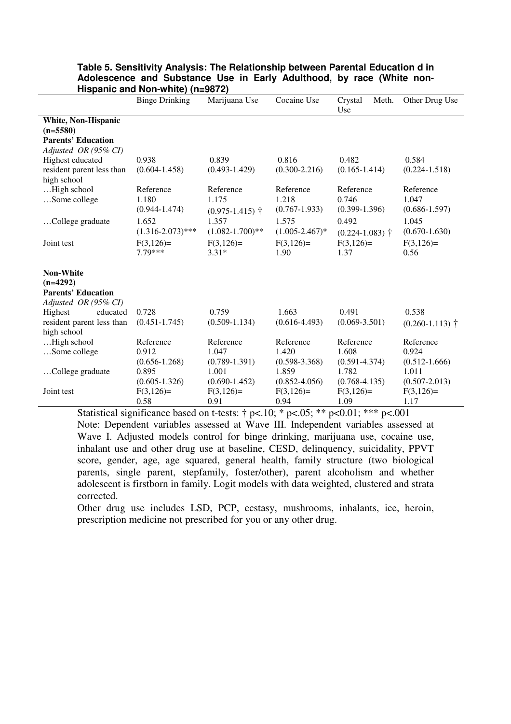|                                                                                      | $1.13$ paint and Non wille, $(1.13)$<br><b>Binge Drinking</b> | Marijuana Use                                        | Cocaine Use                             | Meth.<br>Crystal<br>Use                 | Other Drug Use                              |
|--------------------------------------------------------------------------------------|---------------------------------------------------------------|------------------------------------------------------|-----------------------------------------|-----------------------------------------|---------------------------------------------|
| White, Non-Hispanic<br>$(n=5580)$<br><b>Parents' Education</b>                       |                                                               |                                                      |                                         |                                         |                                             |
| Adjusted OR (95% CI)<br>Highest educated<br>resident parent less than<br>high school | 0.938<br>$(0.604 - 1.458)$                                    | 0.839<br>$(0.493 - 1.429)$                           | 0.816<br>$(0.300 - 2.216)$              | 0.482<br>$(0.165 - 1.414)$              | 0.584<br>$(0.224 - 1.518)$                  |
| High school<br>Some college                                                          | Reference<br>1.180<br>$(0.944 - 1.474)$                       | Reference<br>1.175<br>$(0.975 - 1.415)$ <sup>†</sup> | Reference<br>1.218<br>$(0.767 - 1.933)$ | Reference<br>0.746<br>$(0.399 - 1.396)$ | Reference<br>1.047<br>$(0.686 - 1.597)$     |
| College graduate                                                                     | 1.652<br>$(1.316 - 2.073)$ ***                                | 1.357<br>$(1.082 - 1.700)$ **                        | 1.575<br>$(1.005 - 2.467)^*$            | 0.492<br>$(0.224 - 1.083)$ †            | 1.045<br>$(0.670 - 1.630)$                  |
| Joint test                                                                           | $F(3,126)=$<br>$7.79***$                                      | $F(3,126)=$<br>$3.31*$                               | $F(3,126)=$<br>1.90                     | $F(3,126)=$<br>1.37                     | $F(3,126)=$<br>0.56                         |
| <b>Non-White</b><br>$(n=4292)$<br><b>Parents' Education</b><br>Adjusted OR (95% CI)  |                                                               |                                                      |                                         |                                         |                                             |
| Highest<br>educated<br>resident parent less than<br>high school                      | 0.728<br>$(0.451 - 1.745)$                                    | 0.759<br>$(0.509 - 1.134)$                           | 1.663<br>$(0.616 - 4.493)$              | 0.491<br>$(0.069 - 3.501)$              | 0.538<br>$(0.260 - 1.113)$ <sup>†</sup>     |
| High school<br>Some college                                                          | Reference<br>0.912<br>$(0.656 - 1.268)$                       | Reference<br>1.047<br>$(0.789 - 1.391)$              | Reference<br>1.420<br>$(0.598 - 3.368)$ | Reference<br>1.608<br>$(0.591 - 4.374)$ | Reference<br>0.924<br>$(0.512 - 1.666)$     |
| College graduate                                                                     | 0.895<br>$(0.605 - 1.326)$                                    | 1.001<br>$(0.690 - 1.452)$                           | 1.859<br>$(0.852 - 4.056)$              | 1.782<br>$(0.768 - 4.135)$              | 1.011<br>$(0.507 - 2.013)$                  |
| Joint test                                                                           | $F(3,126)=$<br>0.58<br>$\cdot$ $\sim$                         | $F(3,126)=$<br>0.91                                  | $F(3,126)=$<br>0.94                     | $F(3,126)=$<br>1.09                     | $F(3,126)=$<br>1.17<br>$\sim$ $\sim$ $\sim$ |

#### **Table 5. Sensitivity Analysis: The Relationship between Parental Education d in Adolescence and Substance Use in Early Adulthood, by race (White non-Hispanic and Non-white) (n=9872)**

Statistical significance based on t-tests:  $\dagger$  p<.10; \* p<.05; \*\* p<0.01; \*\*\* p<.001

Note: Dependent variables assessed at Wave III. Independent variables assessed at Wave I. Adjusted models control for binge drinking, marijuana use, cocaine use, inhalant use and other drug use at baseline, CESD, delinquency, suicidality, PPVT score, gender, age, age squared, general health, family structure (two biological parents, single parent, stepfamily, foster/other), parent alcoholism and whether adolescent is firstborn in family. Logit models with data weighted, clustered and strata corrected.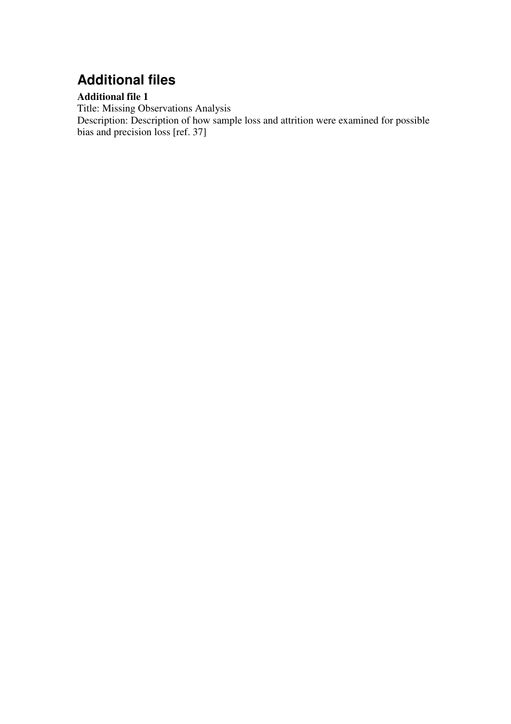## **Additional files**

### **Additional file 1**

Title: Missing Observations Analysis Description: Description of how sample loss and attrition were examined for possible bias and precision loss [ref. 37]